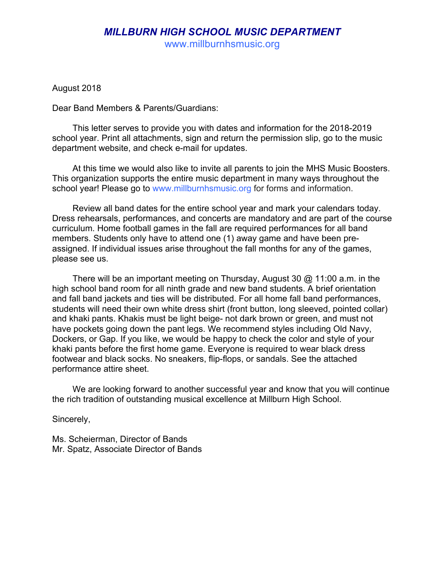www.millburnhsmusic.org

August 2018

Dear Band Members & Parents/Guardians:

This letter serves to provide you with dates and information for the 2018-2019 school year. Print all attachments, sign and return the permission slip, go to the music department website, and check e-mail for updates.

At this time we would also like to invite all parents to join the MHS Music Boosters. This organization supports the entire music department in many ways throughout the school year! Please go to www.millburnhsmusic.org for forms and information.

Review all band dates for the entire school year and mark your calendars today. Dress rehearsals, performances, and concerts are mandatory and are part of the course curriculum. Home football games in the fall are required performances for all band members. Students only have to attend one (1) away game and have been preassigned. If individual issues arise throughout the fall months for any of the games, please see us.

There will be an important meeting on Thursday, August 30 @ 11:00 a.m. in the high school band room for all ninth grade and new band students. A brief orientation and fall band jackets and ties will be distributed. For all home fall band performances, students will need their own white dress shirt (front button, long sleeved, pointed collar) and khaki pants. Khakis must be light beige- not dark brown or green, and must not have pockets going down the pant legs. We recommend styles including Old Navy, Dockers, or Gap. If you like, we would be happy to check the color and style of your khaki pants before the first home game. Everyone is required to wear black dress footwear and black socks. No sneakers, flip-flops, or sandals. See the attached performance attire sheet.

We are looking forward to another successful year and know that you will continue the rich tradition of outstanding musical excellence at Millburn High School.

Sincerely,

Ms. Scheierman, Director of Bands Mr. Spatz, Associate Director of Bands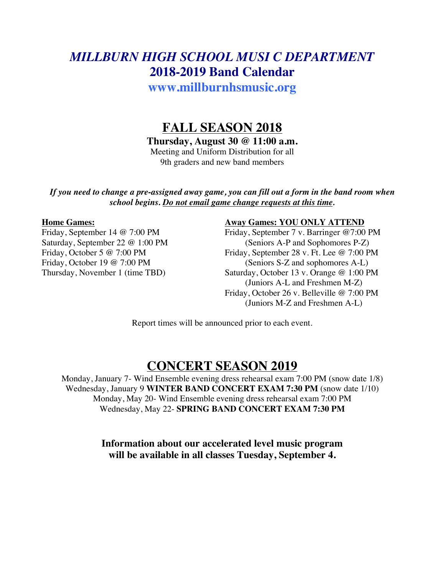# *MILLBURN HIGH SCHOOL MUSI C DEPARTMENT* **2018-2019 Band Calendar**

**www.millburnhsmusic.org**

# **FALL SEASON 2018**

**Thursday, August 30 @ 11:00 a.m.**

Meeting and Uniform Distribution for all 9th graders and new band members

*If you need to change a pre-assigned away game, you can fill out a form in the band room when school begins. Do not email game change requests at this time.*

#### **Home Games: Away Games: YOU ONLY ATTEND**

Friday, September 14 @ 7:00 PM Friday, September 7 v. Barringer @ 7:00 PM Saturday, September 22 @ 1:00 PM (Seniors A-P and Sophomores P-Z)<br>Friday, October 5 @ 7:00 PM Friday, September 28 v. Ft. Lee @ 7:00 P Friday, September 28 v. Ft. Lee @ 7:00 PM Friday, October 19  $@ 7:00 \text{ PM}$  (Seniors S-Z and sophomores A-L) Thursday, November 1 (time TBD) Saturday, October 13 v. Orange @ 1:00 PM (Juniors A-L and Freshmen M-Z) Friday, October 26 v. Belleville @ 7:00 PM (Juniors M-Z and Freshmen A-L)

Report times will be announced prior to each event.

## **CONCERT SEASON 2019**

Monday, January 7- Wind Ensemble evening dress rehearsal exam 7:00 PM (snow date 1/8) Wednesday, January 9 **WINTER BAND CONCERT EXAM 7:30 PM** (snow date 1/10) Monday, May 20- Wind Ensemble evening dress rehearsal exam 7:00 PM Wednesday, May 22- **SPRING BAND CONCERT EXAM 7:30 PM**

> **Information about our accelerated level music program will be available in all classes Tuesday, September 4.**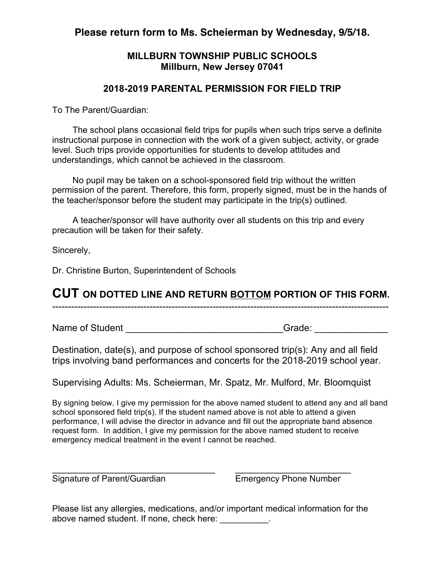## **Please return form to Ms. Scheierman by Wednesday, 9/5/18.**

### **MILLBURN TOWNSHIP PUBLIC SCHOOLS Millburn, New Jersey 07041**

### **2018-2019 PARENTAL PERMISSION FOR FIELD TRIP**

To The Parent/Guardian:

The school plans occasional field trips for pupils when such trips serve a definite instructional purpose in connection with the work of a given subject, activity, or grade level. Such trips provide opportunities for students to develop attitudes and understandings, which cannot be achieved in the classroom.

No pupil may be taken on a school-sponsored field trip without the written permission of the parent. Therefore, this form, properly signed, must be in the hands of the teacher/sponsor before the student may participate in the trip(s) outlined.

A teacher/sponsor will have authority over all students on this trip and every precaution will be taken for their safety.

Sincerely,

Dr. Christine Burton, Superintendent of Schools

## **CUT ON DOTTED LINE AND RETURN BOTTOM PORTION OF THIS FORM.**

-----------------------------------------------------------------------------------------------------------

Name of Student **Name of Student** and the student of  $G$ rade:  $G$ 

Destination, date(s), and purpose of school sponsored trip(s): Any and all field trips involving band performances and concerts for the 2018-2019 school year.

Supervising Adults: Ms. Scheierman, Mr. Spatz, Mr. Mulford, Mr. Bloomquist

By signing below, I give my permission for the above named student to attend any and all band school sponsored field trip(s). If the student named above is not able to attend a given performance, I will advise the director in advance and fill out the appropriate band absence request form. In addition, I give my permission for the above named student to receive emergency medical treatment in the event I cannot be reached.

Signature of Parent/Guardian Emergency Phone Number

Please list any allergies, medications, and/or important medical information for the above named student. If none, check here: \_\_\_\_\_\_\_\_\_\_.

 $\frac{1}{2}$  ,  $\frac{1}{2}$  ,  $\frac{1}{2}$  ,  $\frac{1}{2}$  ,  $\frac{1}{2}$  ,  $\frac{1}{2}$  ,  $\frac{1}{2}$  ,  $\frac{1}{2}$  ,  $\frac{1}{2}$  ,  $\frac{1}{2}$  ,  $\frac{1}{2}$  ,  $\frac{1}{2}$  ,  $\frac{1}{2}$  ,  $\frac{1}{2}$  ,  $\frac{1}{2}$  ,  $\frac{1}{2}$  ,  $\frac{1}{2}$  ,  $\frac{1}{2}$  ,  $\frac{1$